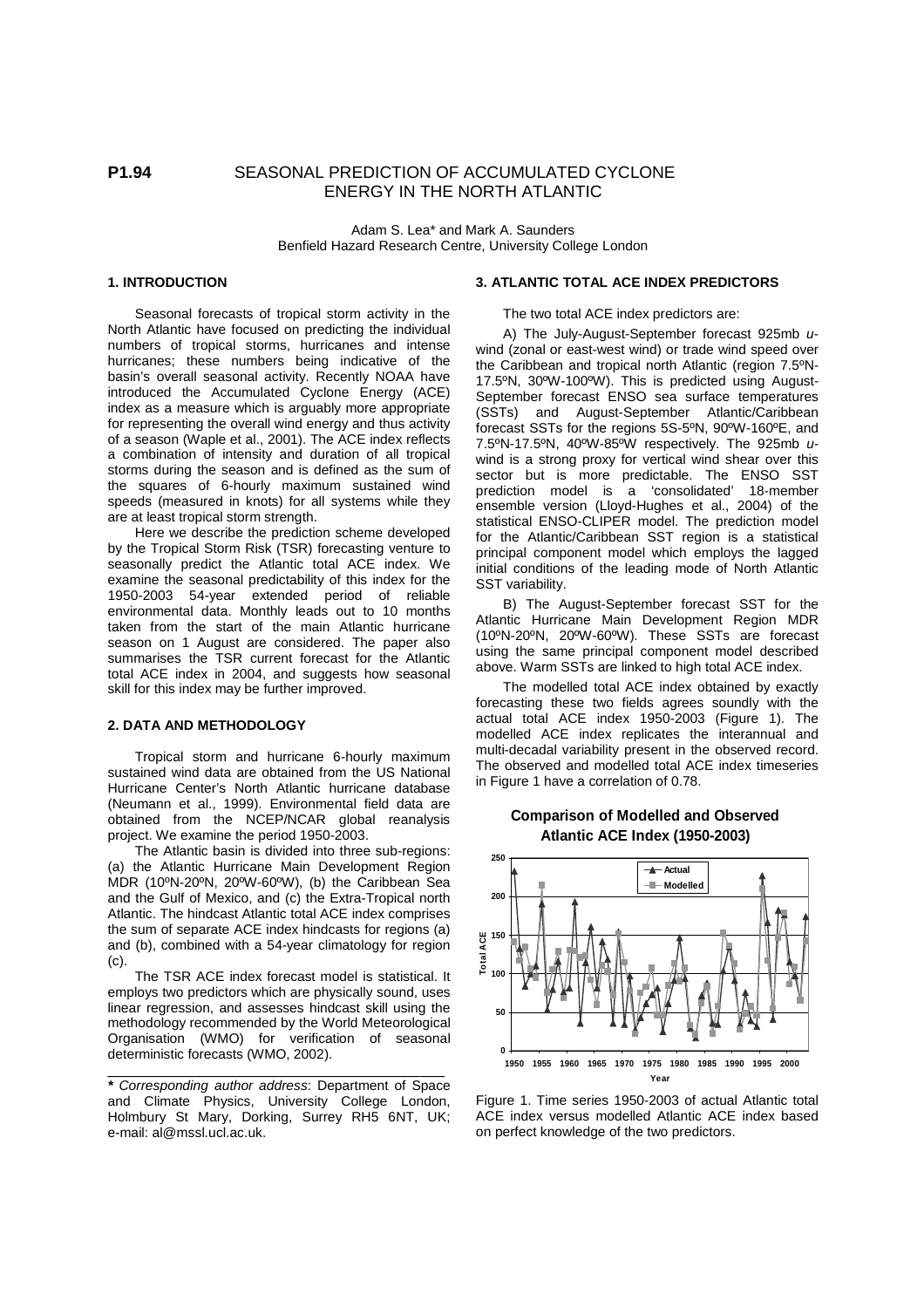# **P1.94** SEASONAL PREDICTION OF ACCUMULATED CYCLONE ENERGY IN THE NORTH ATLANTIC

Adam S. Lea\* and Mark A. Saunders Benfield Hazard Research Centre, University College London

# **1. INTRODUCTION**

Seasonal forecasts of tropical storm activity in the North Atlantic have focused on predicting the individual numbers of tropical storms, hurricanes and intense hurricanes; these numbers being indicative of the basin's overall seasonal activity. Recently NOAA have introduced the Accumulated Cyclone Energy (ACE) index as a measure which is arguably more appropriate for representing the overall wind energy and thus activity of a season (Waple et al., 2001). The ACE index reflects a combination of intensity and duration of all tropical storms during the season and is defined as the sum of the squares of 6-hourly maximum sustained wind speeds (measured in knots) for all systems while they are at least tropical storm strength.

Here we describe the prediction scheme developed by the Tropical Storm Risk (TSR) forecasting venture to seasonally predict the Atlantic total ACE index. We examine the seasonal predictability of this index for the 1950-2003 54-year extended period of reliable environmental data. Monthly leads out to 10 months taken from the start of the main Atlantic hurricane season on 1 August are considered. The paper also summarises the TSR current forecast for the Atlantic total ACE index in 2004, and suggests how seasonal skill for this index may be further improved.

## **2. DATA AND METHODOLOGY**

Tropical storm and hurricane 6-hourly maximum sustained wind data are obtained from the US National Hurricane Center's North Atlantic hurricane database (Neumann et al., 1999). Environmental field data are obtained from the NCEP/NCAR global reanalysis project. We examine the period 1950-2003.

The Atlantic basin is divided into three sub-regions: (a) the Atlantic Hurricane Main Development Region MDR (10ºN-20ºN, 20ºW-60ºW), (b) the Caribbean Sea and the Gulf of Mexico, and (c) the Extra-Tropical north Atlantic. The hindcast Atlantic total ACE index comprises the sum of separate ACE index hindcasts for regions (a) and (b), combined with a 54-year climatology for region (c).

The TSR ACE index forecast model is statistical. It employs two predictors which are physically sound, uses linear regression, and assesses hindcast skill using the methodology recommended by the World Meteorological Organisation (WMO) for verification of seasonal deterministic forecasts (WMO, 2002).

\_\_\_\_\_\_\_\_\_\_\_\_\_\_\_\_\_\_\_\_\_\_\_\_\_\_\_\_\_\_\_\_\_\_\_\_\_\_\_\_\_ \_\_\_

### **3. ATLANTIC TOTAL ACE INDEX PREDICTORS**

The two total ACE index predictors are:

A) The July-August-September forecast 925mb uwind (zonal or east-west wind) or trade wind speed over the Caribbean and tropical north Atlantic (region 7.5ºN-17.5ºN, 30ºW-100ºW). This is predicted using August-September forecast ENSO sea surface temperatures (SSTs) and August-September Atlantic/Caribbean forecast SSTs for the regions 5S-5ºN, 90ºW-160ºE, and 7.5ºN-17.5ºN, 40ºW-85ºW respectively. The 925mb uwind is a strong proxy for vertical wind shear over this sector but is more predictable. The ENSO SST prediction model is a 'consolidated' 18-member ensemble version (Lloyd-Hughes et al., 2004) of the statistical ENSO-CLIPER model. The prediction model for the Atlantic/Caribbean SST region is a statistical principal component model which employs the lagged initial conditions of the leading mode of North Atlantic SST variability.

B) The August-September forecast SST for the Atlantic Hurricane Main Development Region MDR (10ºN-20ºN, 20ºW-60ºW). These SSTs are forecast using the same principal component model described above. Warm SSTs are linked to high total ACE index.

The modelled total ACE index obtained by exactly forecasting these two fields agrees soundly with the actual total ACE index 1950-2003 (Figure 1). The modelled ACE index replicates the interannual and multi-decadal variability present in the observed record. The observed and modelled total ACE index timeseries in Figure 1 have a correlation of 0.78.

## **Comparison of Modelled and Observed Atlantic ACE Index (1950-2003)**



Figure 1. Time series 1950-2003 of actual Atlantic total ACE index versus modelled Atlantic ACE index based on perfect knowledge of the two predictors.

**<sup>\*</sup>** Corresponding author address: Department of Space and Climate Physics, University College London, Holmbury St Mary, Dorking, Surrey RH5 6NT, UK; e-mail: al@mssl.ucl.ac.uk.